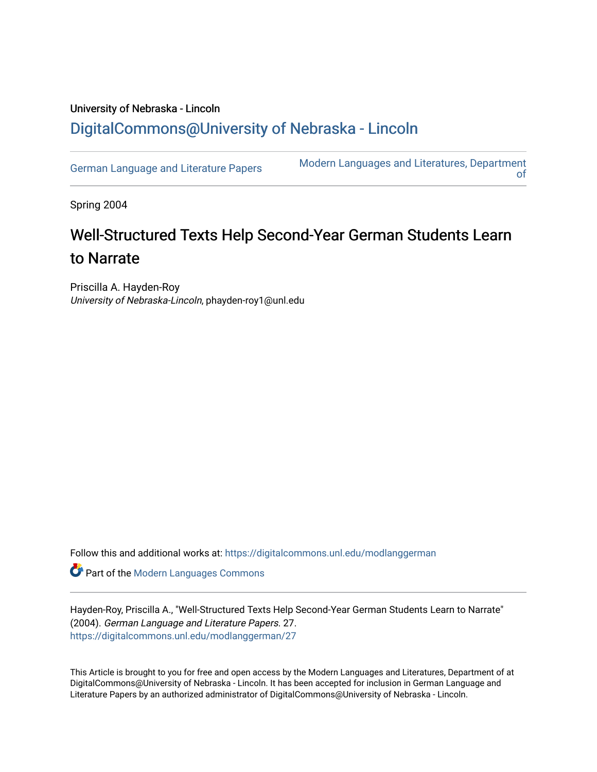## University of Nebraska - Lincoln [DigitalCommons@University of Nebraska - Lincoln](https://digitalcommons.unl.edu/)

[German Language and Literature Papers](https://digitalcommons.unl.edu/modlanggerman) Modern Languages and Literatures, Department [of](https://digitalcommons.unl.edu/modernlanguages) 

Spring 2004

# Well-Structured Texts Help Second-Year German Students Learn to Narrate

Priscilla A. Hayden-Roy University of Nebraska-Lincoln, phayden-roy1@unl.edu

Follow this and additional works at: [https://digitalcommons.unl.edu/modlanggerman](https://digitalcommons.unl.edu/modlanggerman?utm_source=digitalcommons.unl.edu%2Fmodlanggerman%2F27&utm_medium=PDF&utm_campaign=PDFCoverPages) 

Part of the [Modern Languages Commons](http://network.bepress.com/hgg/discipline/1130?utm_source=digitalcommons.unl.edu%2Fmodlanggerman%2F27&utm_medium=PDF&utm_campaign=PDFCoverPages) 

Hayden-Roy, Priscilla A., "Well-Structured Texts Help Second-Year German Students Learn to Narrate" (2004). German Language and Literature Papers. 27. [https://digitalcommons.unl.edu/modlanggerman/27](https://digitalcommons.unl.edu/modlanggerman/27?utm_source=digitalcommons.unl.edu%2Fmodlanggerman%2F27&utm_medium=PDF&utm_campaign=PDFCoverPages)

This Article is brought to you for free and open access by the Modern Languages and Literatures, Department of at DigitalCommons@University of Nebraska - Lincoln. It has been accepted for inclusion in German Language and Literature Papers by an authorized administrator of DigitalCommons@University of Nebraska - Lincoln.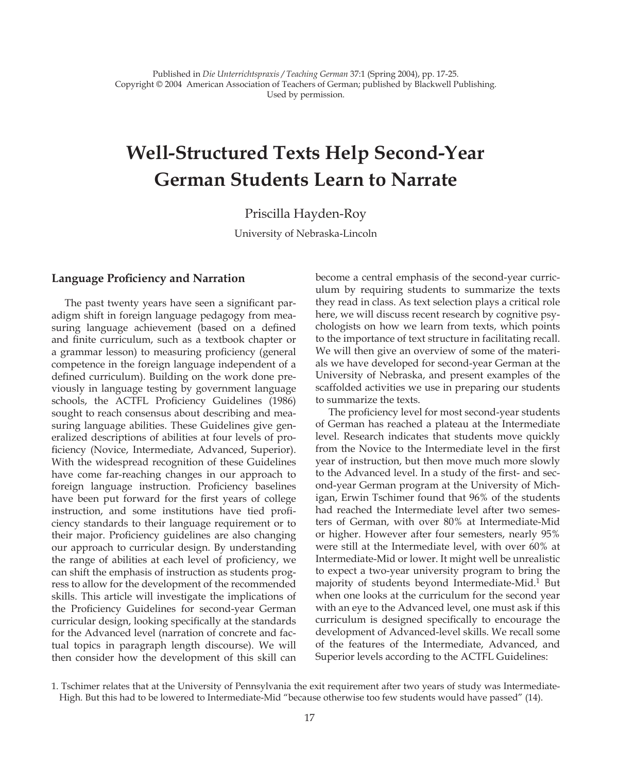## **Well-Structured Texts Help Second-Year German Students Learn to Narrate**

## Priscilla Hayden-Roy

University of Nebraska-Lincoln

#### **Language Proficiency and Narration**

The past twenty years have seen a significant paradigm shift in foreign language pedagogy from measuring language achievement (based on a defined and finite curriculum, such as a textbook chapter or a grammar lesson) to measuring proficiency (general competence in the foreign language independent of a defined curriculum). Building on the work done previously in language testing by government language schools, the ACTFL Proficiency Guidelines (1986) sought to reach consensus about describing and measuring language abilities. These Guidelines give generalized descriptions of abilities at four levels of proficiency (Novice, Intermediate, Advanced, Superior). With the widespread recognition of these Guidelines have come far-reaching changes in our approach to foreign language instruction. Proficiency baselines have been put forward for the first years of college instruction, and some institutions have tied proficiency standards to their language requirement or to their major. Proficiency guidelines are also changing our approach to curricular design. By understanding the range of abilities at each level of proficiency, we can shift the emphasis of instruction as students progress to allow for the development of the recommended skills. This article will investigate the implications of the Proficiency Guidelines for second-year German curricular design, looking specifically at the standards for the Advanced level (narration of concrete and factual topics in paragraph length discourse). We will then consider how the development of this skill can

become a central emphasis of the second-year curriculum by requiring students to summarize the texts they read in class. As text selection plays a critical role here, we will discuss recent research by cognitive psychologists on how we learn from texts, which points to the importance of text structure in facilitating recall. We will then give an overview of some of the materials we have developed for second-year German at the University of Nebraska, and present examples of the scaffolded activities we use in preparing our students to summarize the texts.

The proficiency level for most second-year students of German has reached a plateau at the Intermediate level. Research indicates that students move quickly from the Novice to the Intermediate level in the first year of instruction, but then move much more slowly to the Advanced level. In a study of the first- and second-year German program at the University of Michigan, Erwin Tschimer found that 96% of the students had reached the Intermediate level after two semesters of German, with over 80% at Intermediate-Mid or higher. However after four semesters, nearly 95% were still at the Intermediate level, with over 60% at Intermediate-Mid or lower. It might well be unrealistic to expect a two-year university program to bring the majority of students beyond Intermediate-Mid.<sup>1</sup> But when one looks at the curriculum for the second year with an eye to the Advanced level, one must ask if this curriculum is designed specifically to encourage the development of Advanced-level skills. We recall some of the features of the Intermediate, Advanced, and Superior levels according to the ACTFL Guidelines:

<sup>1.</sup> Tschimer relates that at the University of Pennsylvania the exit requirement after two years of study was Intermediate-High. But this had to be lowered to Intermediate-Mid "because otherwise too few students would have passed" (14).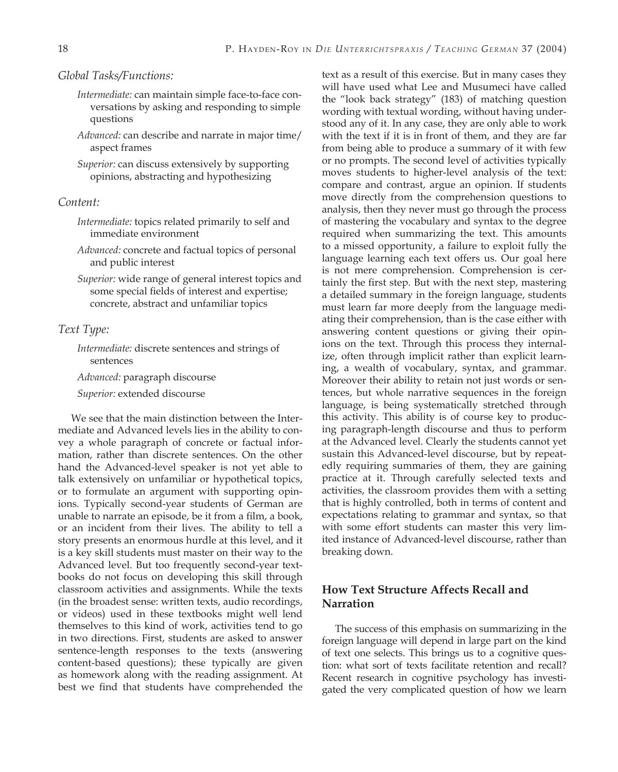#### *Global Tasks/Functions:*

- *Intermediate:* can maintain simple face-to-face conversations by asking and responding to simple questions
- *Advanced:* can describe and narrate in major time/ aspect frames

*Superior:* can discuss extensively by supporting opinions, abstracting and hypothesizing

#### *Content:*

- *Intermediate:* topics related primarily to self and immediate environment
- *Advanced:* concrete and factual topics of personal and public interest
- *Superior:* wide range of general interest topics and some special fields of interest and expertise; concrete, abstract and unfamiliar topics

#### *Text Type:*

*Intermediate:* discrete sentences and strings of sentences

*Advanced:* paragraph discourse

*Superior:* extended discourse

We see that the main distinction between the Intermediate and Advanced levels lies in the ability to convey a whole paragraph of concrete or factual information, rather than discrete sentences. On the other hand the Advanced-level speaker is not yet able to talk extensively on unfamiliar or hypothetical topics, or to formulate an argument with supporting opinions. Typically second-year students of German are unable to narrate an episode, be it from a film, a book, or an incident from their lives. The ability to tell a story presents an enormous hurdle at this level, and it is a key skill students must master on their way to the Advanced level. But too frequently second-year textbooks do not focus on developing this skill through classroom activities and assignments. While the texts (in the broadest sense: written texts, audio recordings, or videos) used in these textbooks might well lend themselves to this kind of work, activities tend to go in two directions. First, students are asked to answer sentence-length responses to the texts (answering content-based questions); these typically are given as homework along with the reading assignment. At best we find that students have comprehended the

text as a result of this exercise. But in many cases they will have used what Lee and Musumeci have called the "look back strategy" (183) of matching question wording with textual wording, without having understood any of it. In any case, they are only able to work with the text if it is in front of them, and they are far from being able to produce a summary of it with few or no prompts. The second level of activities typically moves students to higher-level analysis of the text: compare and contrast, argue an opinion. If students move directly from the comprehension questions to analysis, then they never must go through the process of mastering the vocabulary and syntax to the degree required when summarizing the text. This amounts to a missed opportunity, a failure to exploit fully the language learning each text offers us. Our goal here is not mere comprehension. Comprehension is certainly the first step. But with the next step, mastering a detailed summary in the foreign language, students must learn far more deeply from the language mediating their comprehension, than is the case either with answering content questions or giving their opinions on the text. Through this process they internalize, often through implicit rather than explicit learning, a wealth of vocabulary, syntax, and grammar. Moreover their ability to retain not just words or sentences, but whole narrative sequences in the foreign language, is being systematically stretched through this activity. This ability is of course key to producing paragraph-length discourse and thus to perform at the Advanced level. Clearly the students cannot yet sustain this Advanced-level discourse, but by repeatedly requiring summaries of them, they are gaining practice at it. Through carefully selected texts and activities, the classroom provides them with a setting that is highly controlled, both in terms of content and expectations relating to grammar and syntax, so that with some effort students can master this very limited instance of Advanced-level discourse, rather than breaking down.

## **How Text Structure Affects Recall and Narration**

The success of this emphasis on summarizing in the foreign language will depend in large part on the kind of text one selects. This brings us to a cognitive question: what sort of texts facilitate retention and recall? Recent research in cognitive psychology has investigated the very complicated question of how we learn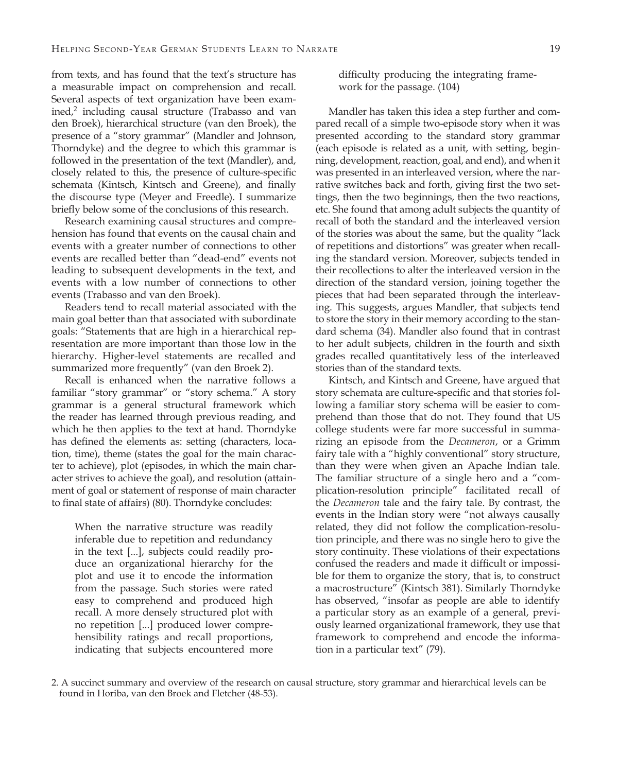from texts, and has found that the text's structure has a measurable impact on comprehension and recall. Several aspects of text organization have been examined,<sup>2</sup> including causal structure (Trabasso and van den Broek), hierarchical structure (van den Broek), the presence of a "story grammar" (Mandler and Johnson, Thorndyke) and the degree to which this grammar is followed in the presentation of the text (Mandler), and, closely related to this, the presence of culture-specific schemata (Kintsch, Kintsch and Greene), and finally the discourse type (Meyer and Freedle). I summarize briefly below some of the conclusions of this research.

Research examining causal structures and comprehension has found that events on the causal chain and events with a greater number of connections to other events are recalled better than "dead-end" events not leading to subsequent developments in the text, and events with a low number of connections to other events (Trabasso and van den Broek).

Readers tend to recall material associated with the main goal better than that associated with subordinate goals: "Statements that are high in a hierarchical representation are more important than those low in the hierarchy. Higher-level statements are recalled and summarized more frequently" (van den Broek 2).

Recall is enhanced when the narrative follows a familiar "story grammar" or "story schema." A story grammar is a general structural framework which the reader has learned through previous reading, and which he then applies to the text at hand. Thorndyke has defined the elements as: setting (characters, location, time), theme (states the goal for the main character to achieve), plot (episodes, in which the main character strives to achieve the goal), and resolution (attainment of goal or statement of response of main character to final state of affairs) (80). Thorndyke concludes:

When the narrative structure was readily inferable due to repetition and redundancy in the text [...], subjects could readily produce an organizational hierarchy for the plot and use it to encode the information from the passage. Such stories were rated easy to comprehend and produced high recall. A more densely structured plot with no repetition [...] produced lower comprehensibility ratings and recall proportions, indicating that subjects encountered more difficulty producing the integrating framework for the passage. (104)

Mandler has taken this idea a step further and compared recall of a simple two-episode story when it was presented according to the standard story grammar (each episode is related as a unit, with setting, beginning, development, reaction, goal, and end), and when it was presented in an interleaved version, where the narrative switches back and forth, giving first the two settings, then the two beginnings, then the two reactions, etc. She found that among adult subjects the quantity of recall of both the standard and the interleaved version of the stories was about the same, but the quality "lack of repetitions and distortions" was greater when recalling the standard version. Moreover, subjects tended in their recollections to alter the interleaved version in the direction of the standard version, joining together the pieces that had been separated through the interleaving. This suggests, argues Mandler, that subjects tend to store the story in their memory according to the standard schema (34). Mandler also found that in contrast to her adult subjects, children in the fourth and sixth grades recalled quantitatively less of the interleaved stories than of the standard texts.

Kintsch, and Kintsch and Greene, have argued that story schemata are culture-specific and that stories following a familiar story schema will be easier to comprehend than those that do not. They found that US college students were far more successful in summarizing an episode from the *Decameron*, or a Grimm fairy tale with a "highly conventional" story structure, than they were when given an Apache Indian tale. The familiar structure of a single hero and a "complication-resolution principle" facilitated recall of the *Decameron* tale and the fairy tale. By contrast, the events in the Indian story were "not always causally related, they did not follow the complication-resolution principle, and there was no single hero to give the story continuity. These violations of their expectations confused the readers and made it difficult or impossible for them to organize the story, that is, to construct a macrostructure" (Kintsch 381). Similarly Thorndyke has observed, "insofar as people are able to identify a particular story as an example of a general, previously learned organizational framework, they use that framework to comprehend and encode the information in a particular text" (79).

<sup>2.</sup> A succinct summary and overview of the research on causal structure, story grammar and hierarchical levels can be found in Horiba, van den Broek and Fletcher (48-53).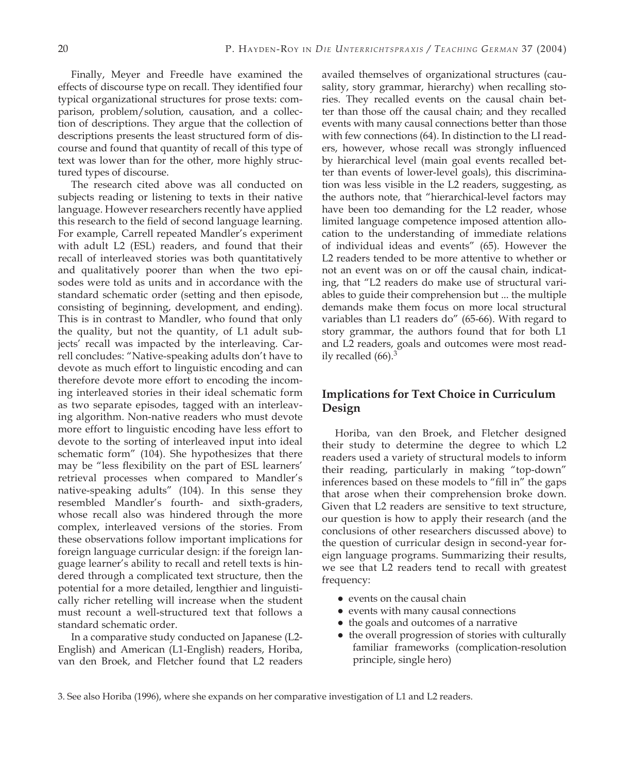Finally, Meyer and Freedle have examined the effects of discourse type on recall. They identified four typical organizational structures for prose texts: comparison, problem/solution, causation, and a collection of descriptions. They argue that the collection of descriptions presents the least structured form of discourse and found that quantity of recall of this type of text was lower than for the other, more highly structured types of discourse.

The research cited above was all conducted on subjects reading or listening to texts in their native language. However researchers recently have applied this research to the field of second language learning. For example, Carrell repeated Mandler's experiment with adult L2 (ESL) readers, and found that their recall of interleaved stories was both quantitatively and qualitatively poorer than when the two episodes were told as units and in accordance with the standard schematic order (setting and then episode, consisting of beginning, development, and ending). This is in contrast to Mandler, who found that only the quality, but not the quantity, of L1 adult subjects' recall was impacted by the interleaving. Carrell concludes: "Native-speaking adults don't have to devote as much effort to linguistic encoding and can therefore devote more effort to encoding the incoming interleaved stories in their ideal schematic form as two separate episodes, tagged with an interleaving algorithm. Non-native readers who must devote more effort to linguistic encoding have less effort to devote to the sorting of interleaved input into ideal schematic form" (104). She hypothesizes that there may be "less flexibility on the part of ESL learners' retrieval processes when compared to Mandler's native-speaking adults" (104). In this sense they resembled Mandler's fourth- and sixth-graders, whose recall also was hindered through the more complex, interleaved versions of the stories. From these observations follow important implications for foreign language curricular design: if the foreign language learner's ability to recall and retell texts is hindered through a complicated text structure, then the potential for a more detailed, lengthier and linguistically richer retelling will increase when the student must recount a well-structured text that follows a standard schematic order.

In a comparative study conducted on Japanese (L2- English) and American (L1-English) readers, Horiba, van den Broek, and Fletcher found that L2 readers availed themselves of organizational structures (causality, story grammar, hierarchy) when recalling stories. They recalled events on the causal chain better than those off the causal chain; and they recalled events with many causal connections better than those with few connections (64). In distinction to the LI readers, however, whose recall was strongly influenced by hierarchical level (main goal events recalled better than events of lower-level goals), this discrimination was less visible in the L2 readers, suggesting, as the authors note, that "hierarchical-level factors may have been too demanding for the L2 reader, whose limited language competence imposed attention allocation to the understanding of immediate relations of individual ideas and events" (65). However the L2 readers tended to be more attentive to whether or not an event was on or off the causal chain, indicating, that "L2 readers do make use of structural variables to guide their comprehension but ... the multiple demands make them focus on more local structural variables than L1 readers do" (65-66). With regard to story grammar, the authors found that for both L1 and L2 readers, goals and outcomes were most readily recalled (66).<sup>3</sup>

## **Implications for Text Choice in Curriculum Design**

Horiba, van den Broek, and Fletcher designed their study to determine the degree to which L2 readers used a variety of structural models to inform their reading, particularly in making "top-down" inferences based on these models to "fill in" the gaps that arose when their comprehension broke down. Given that L2 readers are sensitive to text structure, our question is how to apply their research (and the conclusions of other researchers discussed above) to the question of curricular design in second-year foreign language programs. Summarizing their results, we see that L2 readers tend to recall with greatest frequency:

- events on the causal chain
- events with many causal connections
- the goals and outcomes of a narrative
- the overall progression of stories with culturally familiar frameworks (complication-resolution principle, single hero)

3. See also Horiba (1996), where she expands on her comparative investigation of L1 and L2 readers.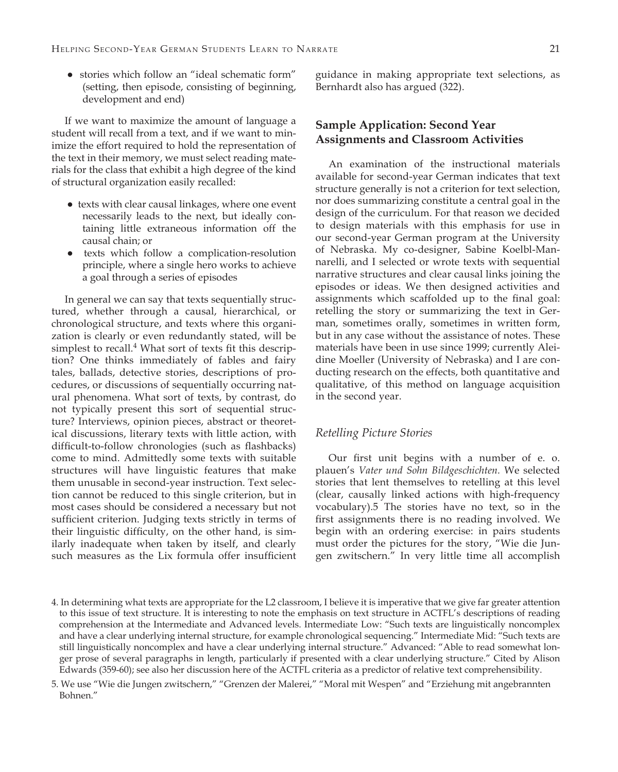● stories which follow an "ideal schematic form" (setting, then episode, consisting of beginning, development and end)

If we want to maximize the amount of language a student will recall from a text, and if we want to minimize the effort required to hold the representation of the text in their memory, we must select reading materials for the class that exhibit a high degree of the kind of structural organization easily recalled:

- texts with clear causal linkages, where one event necessarily leads to the next, but ideally containing little extraneous information off the causal chain; or
- texts which follow a complication-resolution principle, where a single hero works to achieve a goal through a series of episodes

In general we can say that texts sequentially structured, whether through a causal, hierarchical, or chronological structure, and texts where this organization is clearly or even redundantly stated, will be simplest to recall.<sup>4</sup> What sort of texts fit this description? One thinks immediately of fables and fairy tales, ballads, detective stories, descriptions of procedures, or discussions of sequentially occurring natural phenomena. What sort of texts, by contrast, do not typically present this sort of sequential structure? Interviews, opinion pieces, abstract or theoretical discussions, literary texts with little action, with difficult-to-follow chronologies (such as flashbacks) come to mind. Admittedly some texts with suitable structures will have linguistic features that make them unusable in second-year instruction. Text selection cannot be reduced to this single criterion, but in most cases should be considered a necessary but not sufficient criterion. Judging texts strictly in terms of their linguistic difficulty, on the other hand, is similarly inadequate when taken by itself, and clearly such measures as the Lix formula offer insufficient

guidance in making appropriate text selections, as Bernhardt also has argued (322).

## **Sample Application: Second Year Assignments and Classroom Activities**

An examination of the instructional materials available for second-year German indicates that text structure generally is not a criterion for text selection, nor does summarizing constitute a central goal in the design of the curriculum. For that reason we decided to design materials with this emphasis for use in our second-year German program at the University of Nebraska. My co-designer, Sabine Koelbl-Mannarelli, and I selected or wrote texts with sequential narrative structures and clear causal links joining the episodes or ideas. We then designed activities and assignments which scaffolded up to the final goal: retelling the story or summarizing the text in German, sometimes orally, sometimes in written form, but in any case without the assistance of notes. These materials have been in use since 1999; currently Aleidine Moeller (University of Nebraska) and I are conducting research on the effects, both quantitative and qualitative, of this method on language acquisition in the second year.

#### *Retelling Picture Stories*

Our first unit begins with a number of e. o. plauen's *Vater und Sohn Bildgeschichten.* We selected stories that lent themselves to retelling at this level (clear, causally linked actions with high-frequency vocabulary).5 The stories have no text, so in the first assignments there is no reading involved. We begin with an ordering exercise: in pairs students must order the pictures for the story, "Wie die Jungen zwitschern." In very little time all accomplish

<sup>4.</sup> In determining what texts are appropriate for the L2 classroom, I believe it is imperative that we give far greater attention to this issue of text structure. It is interesting to note the emphasis on text structure in ACTFL's descriptions of reading comprehension at the Intermediate and Advanced levels. Intermediate Low: "Such texts are linguistically noncomplex and have a clear underlying internal structure, for example chronological sequencing." Intermediate Mid: "Such texts are still linguistically noncomplex and have a clear underlying internal structure." Advanced: "Able to read somewhat longer prose of several paragraphs in length, particularly if presented with a clear underlying structure." Cited by Alison Edwards (359-60); see also her discussion here of the ACTFL criteria as a predictor of relative text comprehensibility.

<sup>5.</sup> We use "Wie die Jungen zwitschern," "Grenzen der Malerei," "Moral mit Wespen" and "Erziehung mit angebrannten Bohnen."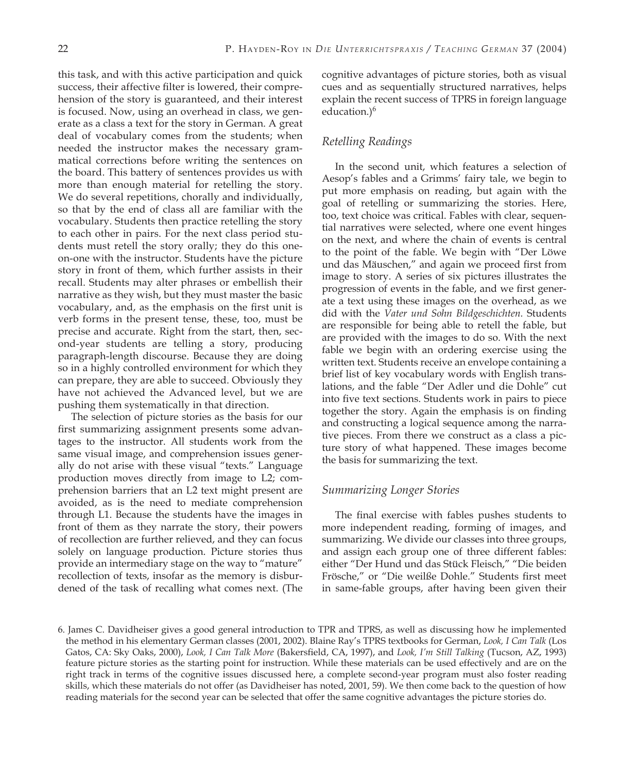this task, and with this active participation and quick success, their affective filter is lowered, their comprehension of the story is guaranteed, and their interest is focused. Now, using an overhead in class, we generate as a class a text for the story in German. A great deal of vocabulary comes from the students; when needed the instructor makes the necessary grammatical corrections before writing the sentences on the board. This battery of sentences provides us with more than enough material for retelling the story. We do several repetitions, chorally and individually, so that by the end of class all are familiar with the vocabulary. Students then practice retelling the story to each other in pairs. For the next class period students must retell the story orally; they do this oneon-one with the instructor. Students have the picture story in front of them, which further assists in their recall. Students may alter phrases or embellish their narrative as they wish, but they must master the basic vocabulary, and, as the emphasis on the first unit is verb forms in the present tense, these, too, must be precise and accurate. Right from the start, then, second-year students are telling a story, producing paragraph-length discourse. Because they are doing so in a highly controlled environment for which they can prepare, they are able to succeed. Obviously they have not achieved the Advanced level, but we are pushing them systematically in that direction.

The selection of picture stories as the basis for our first summarizing assignment presents some advantages to the instructor. All students work from the same visual image, and comprehension issues generally do not arise with these visual "texts." Language production moves directly from image to L2; comprehension barriers that an L2 text might present are avoided, as is the need to mediate comprehension through L1. Because the students have the images in front of them as they narrate the story, their powers of recollection are further relieved, and they can focus solely on language production. Picture stories thus provide an intermediary stage on the way to "mature" recollection of texts, insofar as the memory is disburdened of the task of recalling what comes next. (The

cognitive advantages of picture stories, both as visual cues and as sequentially structured narratives, helps explain the recent success of TPRS in foreign language education.)<sup>6</sup>

## *Retelling Readings*

In the second unit, which features a selection of Aesop's fables and a Grimms' fairy tale, we begin to put more emphasis on reading, but again with the goal of retelling or summarizing the stories. Here, too, text choice was critical. Fables with clear, sequential narratives were selected, where one event hinges on the next, and where the chain of events is central to the point of the fable. We begin with "Der Löwe und das Mäuschen," and again we proceed first from image to story. A series of six pictures illustrates the progression of events in the fable, and we first generate a text using these images on the overhead, as we did with the *Vater und Sohn Bildgeschichten.* Students are responsible for being able to retell the fable, but are provided with the images to do so. With the next fable we begin with an ordering exercise using the written text. Students receive an envelope containing a brief list of key vocabulary words with English translations, and the fable "Der Adler und die Dohle" cut into five text sections. Students work in pairs to piece together the story. Again the emphasis is on finding and constructing a logical sequence among the narrative pieces. From there we construct as a class a picture story of what happened. These images become the basis for summarizing the text.

### *Summarizing Longer Stories*

The final exercise with fables pushes students to more independent reading, forming of images, and summarizing. We divide our classes into three groups, and assign each group one of three different fables: either "Der Hund und das Stück Fleisch," "Die beiden Frösche," or "Die weilße Dohle." Students first meet in same-fable groups, after having been given their

<sup>6.</sup> James C. Davidheiser gives a good general introduction to TPR and TPRS, as well as discussing how he implemented the method in his elementary German classes (2001, 2002). Blaine Ray's TPRS textbooks for German, *Look, I Can Talk* (Los Gatos, CA: Sky Oaks, 2000), *Look, I Can Talk More* (Bakersfield, CA, 1997), and *Look, I'm Still Talking* (Tucson, AZ, 1993) feature picture stories as the starting point for instruction. While these materials can be used effectively and are on the right track in terms of the cognitive issues discussed here, a complete second-year program must also foster reading skills, which these materials do not offer (as Davidheiser has noted, 2001, 59). We then come back to the question of how reading materials for the second year can be selected that offer the same cognitive advantages the picture stories do.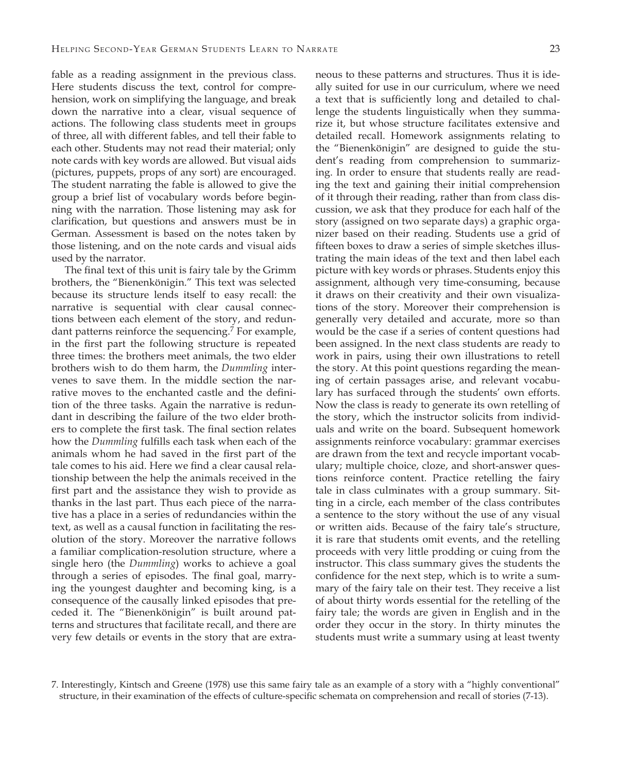fable as a reading assignment in the previous class. Here students discuss the text, control for comprehension, work on simplifying the language, and break down the narrative into a clear, visual sequence of actions. The following class students meet in groups of three, all with different fables, and tell their fable to each other. Students may not read their material; only note cards with key words are allowed. But visual aids (pictures, puppets, props of any sort) are encouraged. The student narrating the fable is allowed to give the group a brief list of vocabulary words before beginning with the narration. Those listening may ask for clarification, but questions and answers must be in German. Assessment is based on the notes taken by those listening, and on the note cards and visual aids used by the narrator.

The final text of this unit is fairy tale by the Grimm brothers, the "Bienenkönigin." This text was selected because its structure lends itself to easy recall: the narrative is sequential with clear causal connections between each element of the story, and redundant patterns reinforce the sequencing.<sup>7</sup> For example, in the first part the following structure is repeated three times: the brothers meet animals, the two elder brothers wish to do them harm, the *Dummling* intervenes to save them. In the middle section the narrative moves to the enchanted castle and the definition of the three tasks. Again the narrative is redundant in describing the failure of the two elder brothers to complete the first task. The final section relates how the *Dummling* fulfills each task when each of the animals whom he had saved in the first part of the tale comes to his aid. Here we find a clear causal relationship between the help the animals received in the first part and the assistance they wish to provide as thanks in the last part. Thus each piece of the narrative has a place in a series of redundancies within the text, as well as a causal function in facilitating the resolution of the story. Moreover the narrative follows a familiar complication-resolution structure, where a single hero (the *Dummling*) works to achieve a goal through a series of episodes. The final goal, marrying the youngest daughter and becoming king, is a consequence of the causally linked episodes that preceded it. The "Bienenkönigin" is built around patterns and structures that facilitate recall, and there are very few details or events in the story that are extraneous to these patterns and structures. Thus it is ideally suited for use in our curriculum, where we need a text that is sufficiently long and detailed to challenge the students linguistically when they summarize it, but whose structure facilitates extensive and detailed recall. Homework assignments relating to the "Bienenkönigin" are designed to guide the student's reading from comprehension to summarizing. In order to ensure that students really are reading the text and gaining their initial comprehension of it through their reading, rather than from class discussion, we ask that they produce for each half of the story (assigned on two separate days) a graphic organizer based on their reading. Students use a grid of fifteen boxes to draw a series of simple sketches illustrating the main ideas of the text and then label each picture with key words or phrases. Students enjoy this assignment, although very time-consuming, because it draws on their creativity and their own visualizations of the story. Moreover their comprehension is generally very detailed and accurate, more so than would be the case if a series of content questions had been assigned. In the next class students are ready to work in pairs, using their own illustrations to retell the story. At this point questions regarding the meaning of certain passages arise, and relevant vocabulary has surfaced through the students' own efforts. Now the class is ready to generate its own retelling of the story, which the instructor solicits from individuals and write on the board. Subsequent homework assignments reinforce vocabulary: grammar exercises are drawn from the text and recycle important vocabulary; multiple choice, cloze, and short-answer questions reinforce content. Practice retelling the fairy tale in class culminates with a group summary. Sitting in a circle, each member of the class contributes a sentence to the story without the use of any visual or written aids. Because of the fairy tale's structure, it is rare that students omit events, and the retelling proceeds with very little prodding or cuing from the instructor. This class summary gives the students the confidence for the next step, which is to write a summary of the fairy tale on their test. They receive a list of about thirty words essential for the retelling of the fairy tale; the words are given in English and in the order they occur in the story. In thirty minutes the students must write a summary using at least twenty

<sup>7.</sup> Interestingly, Kintsch and Greene (1978) use this same fairy tale as an example of a story with a "highly conventional" structure, in their examination of the effects of culture-specific schemata on comprehension and recall of stories (7-13).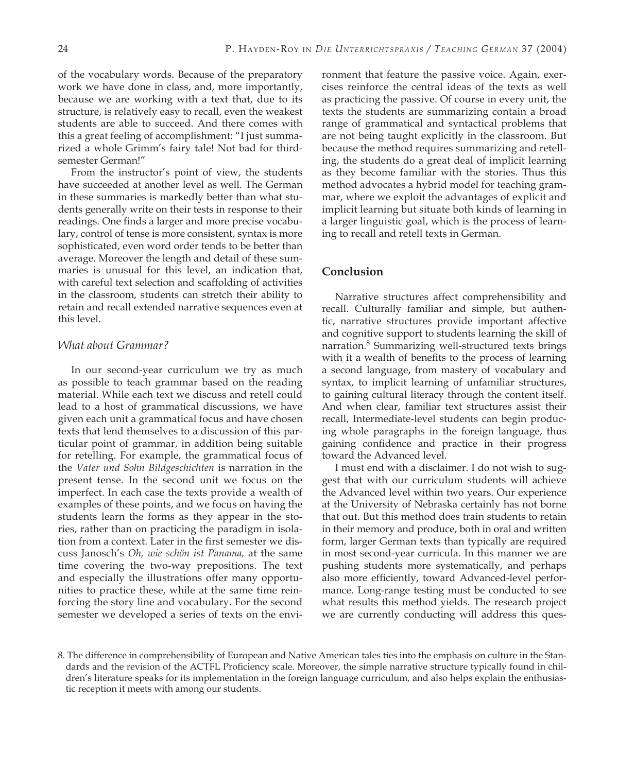of the vocabulary words. Because of the preparatory work we have done in class, and, more importantly, because we are working with a text that, due to its structure, is relatively easy to recall, even the weakest students are able to succeed. And there comes with this a great feeling of accomplishment: "I just summarized a whole Grimm's fairy tale! Not bad for thirdsemester German!"

From the instructor's point of view, the students have succeeded at another level as well. The German in these summaries is markedly better than what students generally write on their tests in response to their readings. One finds a larger and more precise vocabulary, control of tense is more consistent, syntax is more sophisticated, even word order tends to be better than average. Moreover the length and detail of these summaries is unusual for this level, an indication that, with careful text selection and scaffolding of activities in the classroom, students can stretch their ability to retain and recall extended narrative sequences even at this level.

#### *What about Grammar?*

In our second-year curriculum we try as much as possible to teach grammar based on the reading material. While each text we discuss and retell could lead to a host of grammatical discussions, we have given each unit a grammatical focus and have chosen texts that lend themselves to a discussion of this particular point of grammar, in addition being suitable for retelling. For example, the grammatical focus of the *Vater und Sohn Bildgeschichten* is narration in the present tense. In the second unit we focus on the imperfect. In each case the texts provide a wealth of examples of these points, and we focus on having the students learn the forms as they appear in the stories, rather than on practicing the paradigm in isolation from a context. Later in the first semester we discuss Janosch's *Oh, wie schön ist Panama,* at the same time covering the two-way prepositions. The text and especially the illustrations offer many opportunities to practice these, while at the same time reinforcing the story line and vocabulary. For the second semester we developed a series of texts on the environment that feature the passive voice. Again, exercises reinforce the central ideas of the texts as well as practicing the passive. Of course in every unit, the texts the students are summarizing contain a broad range of grammatical and syntactical problems that are not being taught explicitly in the classroom. But because the method requires summarizing and retelling, the students do a great deal of implicit learning as they become familiar with the stories. Thus this method advocates a hybrid model for teaching grammar, where we exploit the advantages of explicit and implicit learning but situate both kinds of learning in a larger linguistic goal, which is the process of learning to recall and retell texts in German.

### **Conclusion**

Narrative structures affect comprehensibility and recall. Culturally familiar and simple, but authentic, narrative structures provide important affective and cognitive support to students learning the skill of narration.8 Summarizing well-structured texts brings with it a wealth of benefits to the process of learning a second language, from mastery of vocabulary and syntax, to implicit learning of unfamiliar structures, to gaining cultural literacy through the content itself. And when clear, familiar text structures assist their recall, Intermediate-level students can begin producing whole paragraphs in the foreign language, thus gaining confidence and practice in their progress toward the Advanced level.

I must end with a disclaimer. I do not wish to suggest that with our curriculum students will achieve the Advanced level within two years. Our experience at the University of Nebraska certainly has not borne that out. But this method does train students to retain in their memory and produce, both in oral and written form, larger German texts than typically are required in most second-year curricula. In this manner we are pushing students more systematically, and perhaps also more efficiently, toward Advanced-level performance. Long-range testing must be conducted to see what results this method yields. The research project we are currently conducting will address this ques-

<sup>8.</sup> The difference in comprehensibility of European and Native American tales ties into the emphasis on culture in the Standards and the revision of the ACTFL Proficiency scale. Moreover, the simple narrative structure typically found in children's literature speaks for its implementation in the foreign language curriculum, and also helps explain the enthusiastic reception it meets with among our students.